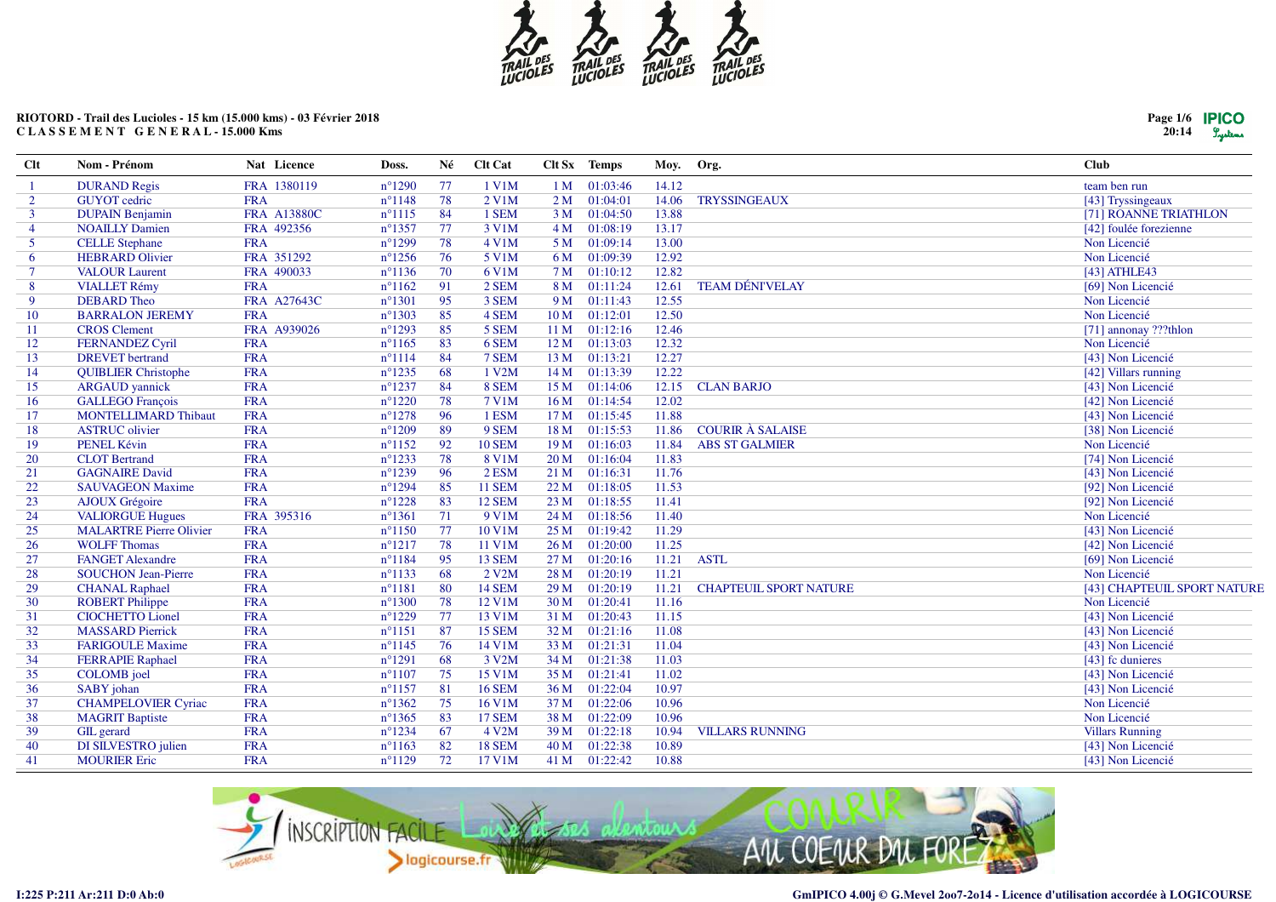

# RIOTORD - Trail des Lucioles - 15 km (15.000 kms) - 03 Février 2018 CLASSEMENT GENERAL-15.000 Kms

| $Clt$          | Nom - Prénom                   | Nat Licence        | Doss.            | Né | <b>Clt Cat</b>         |                 | Clt Sx Temps  | Moy.  | Org.                          | <b>Club</b>                 |
|----------------|--------------------------------|--------------------|------------------|----|------------------------|-----------------|---------------|-------|-------------------------------|-----------------------------|
| -1             | <b>DURAND Regis</b>            | FRA 1380119        | $n^{\circ}1290$  | 77 | 1 V1M                  | 1 <sub>M</sub>  | 01:03:46      | 14.12 |                               | team ben run                |
| $\overline{2}$ | <b>GUYOT</b> cedric            | <b>FRA</b>         | $n^{\circ}1148$  | 78 | 2 V1M                  | 2M              | 01:04:01      | 14.06 | <b>TRYSSINGEAUX</b>           | [43] Tryssingeaux           |
| 3              | <b>DUPAIN Benjamin</b>         | <b>FRA A13880C</b> | $n^{\circ}1115$  | 84 | 1 SEM                  | 3 <sub>M</sub>  | 01:04:50      | 13.88 |                               | [71] ROANNE TRIATHLON       |
| $\overline{4}$ | <b>NOAILLY Damien</b>          | FRA 492356         | $n^{\circ}$ 1357 | 77 | 3 V1M                  | 4M              | 01:08:19      | 13.17 |                               | [42] foulée forezienne      |
| 5              | <b>CELLE Stephane</b>          | <b>FRA</b>         | $n^{\circ}1299$  | 78 | $4$ V1M                | 5 M             | 01:09:14      | 13.00 |                               | Non Licencié                |
| 6              | <b>HEBRARD Olivier</b>         | FRA 351292         | $n^{\circ}1256$  | 76 | 5 V1M                  | 6 M             | 01:09:39      | 12.92 |                               | Non Licencié                |
| 7              | <b>VALOUR Laurent</b>          | FRA 490033         | $n^{\circ}1136$  | 70 | 6 V1M                  | 7 M             | 01:10:12      | 12.82 |                               | $[43]$ ATHLE43              |
| 8              | <b>VIALLET Rémy</b>            | <b>FRA</b>         | $n^{\circ}1162$  | 91 | 2 SEM                  | 8 M             | 01:11:24      | 12.61 | <b>TEAM DÉNIVELAY</b>         | [69] Non Licencié           |
| 9              | <b>DEBARD</b> Theo             | FRA A27643C        | $n^{\circ}1301$  | 95 | 3 SEM                  | 9 M             | 01:11:43      | 12.55 |                               | Non Licencié                |
| 10             | <b>BARRALON JEREMY</b>         | <b>FRA</b>         | $n^{\circ}1303$  | 85 | 4 SEM                  | 10 <sub>M</sub> | 01:12:01      | 12.50 |                               | Non Licencié                |
| -11            | <b>CROS</b> Clement            | FRA A939026        | $n^{\circ}1293$  | 85 | 5 SEM                  | 11 <sub>M</sub> | 01:12:16      | 12.46 |                               | [71] annonay ???thlon       |
| 12             | <b>FERNANDEZ Cyril</b>         | <b>FRA</b>         | $n^{\circ}1165$  | 83 | 6 SEM                  | 12 M            | 01:13:03      | 12.32 |                               | Non Licencié                |
| 13             | <b>DREVET</b> bertrand         | <b>FRA</b>         | $n^{\circ}1114$  | 84 | 7 SEM                  | 13 M            | 01:13:21      | 12.27 |                               | [43] Non Licencié           |
| 14             | <b>QUIBLIER Christophe</b>     | <b>FRA</b>         | $n^{\circ}1235$  | 68 | 1 V2M                  | 14 M            | 01:13:39      | 12.22 |                               | [42] Villars running        |
| 15             | <b>ARGAUD</b> yannick          | <b>FRA</b>         | $n^{\circ}1237$  | 84 | 8 SEM                  | 15 M            | 01:14:06      | 12.15 | <b>CLAN BARJO</b>             | [43] Non Licencié           |
| 16             | <b>GALLEGO</b> François        | <b>FRA</b>         | $n^{\circ}1220$  | 78 | 7 V1M                  | 16 <sub>M</sub> | 01:14:54      | 12.02 |                               | [42] Non Licencié           |
| 17             | <b>MONTELLIMARD Thibaut</b>    | <b>FRA</b>         | $n^{\circ}1278$  | 96 | 1 ESM                  | 17 M            | 01:15:45      | 11.88 |                               | [43] Non Licencié           |
| 18             | <b>ASTRUC</b> olivier          | <b>FRA</b>         | $n^{\circ}1209$  | 89 | 9 SEM                  | 18 M            | 01:15:53      | 11.86 | <b>COURIR À SALAISE</b>       | [38] Non Licencié           |
| 19             | PENEL Kévin                    | <b>FRA</b>         | $n^{\circ}1152$  | 92 | <b>10 SEM</b>          | 19 M            | 01:16:03      | 11.84 | <b>ABS ST GALMIER</b>         | Non Licencié                |
| 20             | <b>CLOT</b> Bertrand           | <b>FRA</b>         | $n^{\circ}1233$  | 78 | 8 V1M                  | 20 M            | 01:16:04      | 11.83 |                               | [74] Non Licencié           |
| 21             | <b>GAGNAIRE David</b>          | <b>FRA</b>         | $n^{\circ}1239$  | 96 | 2 ESM                  | 21 M            | 01:16:31      | 11.76 |                               | [43] Non Licencié           |
| 22             | <b>SAUVAGEON Maxime</b>        | <b>FRA</b>         | $n^{\circ}1294$  | 85 | <b>11 SEM</b>          | 22 M            | 01:18:05      | 11.53 |                               | [92] Non Licencié           |
| 23             | <b>AJOUX</b> Grégoire          | <b>FRA</b>         | $n^{\circ}1228$  | 83 | <b>12 SEM</b>          | 23 M            | 01:18:55      | 11.41 |                               | [92] Non Licencié           |
| 24             | <b>VALIORGUE Hugues</b>        | FRA 395316         | $n^{\circ}1361$  | 71 | 9 V1M                  | 24 M            | 01:18:56      | 11.40 |                               | Non Licencié                |
| 25             | <b>MALARTRE Pierre Olivier</b> | <b>FRA</b>         | $n^{\circ}1150$  | 77 | 10 V1M                 | 25 M            | 01:19:42      | 11.29 |                               | [43] Non Licencié           |
| 26             | <b>WOLFF Thomas</b>            | <b>FRA</b>         | $n^{\circ}1217$  | 78 | 11 V1M                 | 26 M            | 01:20:00      | 11.25 |                               | [42] Non Licencié           |
| 27             | <b>FANGET Alexandre</b>        | <b>FRA</b>         | $n^{\circ}1184$  | 95 | <b>13 SEM</b>          | 27 <sub>M</sub> | 01:20:16      | 11.21 | <b>ASTL</b>                   | [69] Non Licencié           |
| 28             | <b>SOUCHON Jean-Pierre</b>     | <b>FRA</b>         | $n^{\circ}1133$  | 68 | $2$ V <sub>2</sub> M   | 28 M            | 01:20:19      | 11.21 |                               | Non Licencié                |
| 29             | <b>CHANAL Raphael</b>          | <b>FRA</b>         | $n^{\circ}1181$  | 80 | <b>14 SEM</b>          | 29 M            | 01:20:19      | 11.21 | <b>CHAPTEUIL SPORT NATURE</b> | [43] CHAPTEUIL SPORT NATURE |
| 30             | <b>ROBERT Philippe</b>         | <b>FRA</b>         | $n^{\circ}1300$  | 78 | 12 V1M                 | 30 M            | 01:20:41      | 11.16 |                               | Non Licencié                |
| 31             | <b>CIOCHETTO Lionel</b>        | <b>FRA</b>         | $n^{\circ}1229$  | 77 | 13 V1M                 | 31 M            | 01:20:43      | 11.15 |                               | [43] Non Licencié           |
| 32             | <b>MASSARD Pierrick</b>        | <b>FRA</b>         | $n^{\circ}1151$  | 87 | <b>15 SEM</b>          | 32 M            | 01:21:16      | 11.08 |                               | [43] Non Licencié           |
| 33             | <b>FARIGOULE Maxime</b>        | <b>FRA</b>         | $n^{\circ}1145$  | 76 | 14 V1M                 | 33 M            | 01:21:31      | 11.04 |                               | [43] Non Licencié           |
| 34             | <b>FERRAPIE Raphael</b>        | <b>FRA</b>         | $n^{\circ}1291$  | 68 | 3 V2M                  | 34 M            | 01:21:38      | 11.03 |                               | [43] fc dunieres            |
| 35             | <b>COLOMB</b> joel             | <b>FRA</b>         | $n^{\circ}1107$  | 75 | 15 V1M                 | 35 M            | 01:21:41      | 11.02 |                               | [43] Non Licencié           |
| 36             | SABY johan                     | <b>FRA</b>         | $n^{\circ}1157$  | 81 | <b>16 SEM</b>          | 36 M            | 01:22:04      | 10.97 |                               | [43] Non Licencié           |
| 37             | <b>CHAMPELOVIER Cyriac</b>     | <b>FRA</b>         | $n^{\circ}1362$  | 75 | $16$ V $1\overline{M}$ | 37 M            | 01:22:06      | 10.96 |                               | Non Licencié                |
| 38             | <b>MAGRIT Baptiste</b>         | <b>FRA</b>         | $n^{\circ}$ 1365 | 83 | <b>17 SEM</b>          | 38 M            | 01:22:09      | 10.96 |                               | Non Licencié                |
| 39             | <b>GIL</b> gerard              | <b>FRA</b>         | $n^{\circ}1234$  | 67 | 4 V2M                  | 39 M            | 01:22:18      | 10.94 | <b>VILLARS RUNNING</b>        | <b>Villars Running</b>      |
| 40             | DI SILVESTRO julien            | <b>FRA</b>         | $n^{\circ}1163$  | 82 | <b>18 SEM</b>          | 40 M            | 01:22:38      | 10.89 |                               | [43] Non Licencié           |
| 41             | <b>MOURIER Eric</b>            | <b>FRA</b>         | $n^{\circ}1129$  | 72 | 17 V1M                 |                 | 41 M 01:22:42 | 10.88 |                               | [43] Non Licencié           |



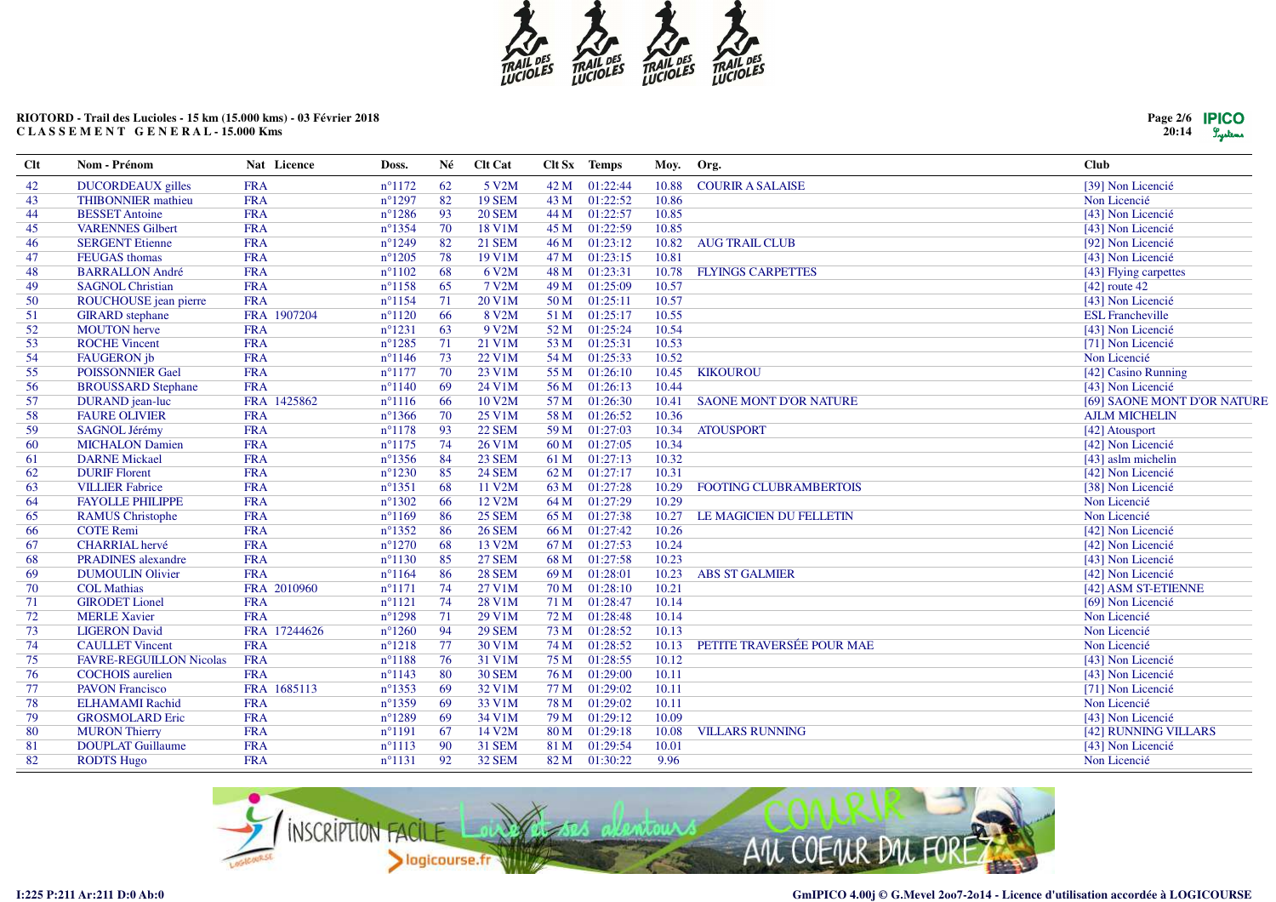

# RIOTORD - Trail des Lucioles - 15 km (15.000 kms) - 03 Février 2018 CLASSEMENT GENERAL-15.000 Kms

| Page 2/6 <b>IPICO</b> |        |
|-----------------------|--------|
| 20:14                 | Lysten |

| <b>Clt</b> | Nom - Prénom                   | Nat Licence  | Doss.            | Né  | Clt Cat       | Clt Sx | <b>Temps</b> | Moy.  | Org.                          | <b>Club</b>                 |
|------------|--------------------------------|--------------|------------------|-----|---------------|--------|--------------|-------|-------------------------------|-----------------------------|
| 42         | <b>DUCORDEAUX</b> gilles       | <b>FRA</b>   | $n^{\circ}1172$  | 62  | 5 V2M         | 42 M   | 01:22:44     | 10.88 | <b>COURIR A SALAISE</b>       | [39] Non Licencié           |
| 43         | <b>THIBONNIER</b> mathieu      | <b>FRA</b>   | $n^{\circ}1297$  | 82  | <b>19 SEM</b> | 43M    | 01:22:52     | 10.86 |                               | Non Licencié                |
| 44         | <b>BESSET</b> Antoine          | <b>FRA</b>   | $n^{\circ}$ 1286 | 93  | <b>20 SEM</b> | 44 M   | 01:22:57     | 10.85 |                               | [43] Non Licencié           |
| 45         | <b>VARENNES Gilbert</b>        | <b>FRA</b>   | $n^{\circ}$ 1354 | 70  | 18 V1M        | 45 M   | 01:22:59     | 10.85 |                               | [43] Non Licencié           |
| 46         | <b>SERGENT Etienne</b>         | <b>FRA</b>   | $n^{\circ}1249$  | 82  | <b>21 SEM</b> | 46 M   | 01:23:12     | 10.82 | <b>AUG TRAIL CLUB</b>         | [92] Non Licencié           |
| 47         | <b>FEUGAS</b> thomas           | <b>FRA</b>   | $n^{\circ}1205$  | 78  | 19 V1M        | 47 M   | 01:23:15     | 10.81 |                               | [43] Non Licencié           |
| 48         | <b>BARRALLON André</b>         | <b>FRA</b>   | $n^{\circ}1102$  | 68  | 6 V2M         | 48 M   | 01:23:31     | 10.78 | <b>FLYINGS CARPETTES</b>      | [43] Flying carpettes       |
| 49         | <b>SAGNOL Christian</b>        | <b>FRA</b>   | $n^{\circ}1158$  | 65  | 7 V2M         | 49 M   | 01:25:09     | 10.57 |                               | [42] route $42$             |
| 50         | ROUCHOUSE jean pierre          | <b>FRA</b>   | $n^{\circ}1154$  | 71  | 20 V1M        | 50 M   | 01:25:11     | 10.57 |                               | [43] Non Licencié           |
| 51         | <b>GIRARD</b> stephane         | FRA 1907204  | $n^{\circ}1120$  | 66  | 8 V2M         | 51 M   | 01:25:17     | 10.55 |                               | <b>ESL Francheville</b>     |
| 52         | <b>MOUTON</b> herve            | <b>FRA</b>   | $n^{\circ}1231$  | 63  | 9 V2M         | 52 M   | 01:25:24     | 10.54 |                               | [43] Non Licencié           |
| 53         | <b>ROCHE Vincent</b>           | <b>FRA</b>   | $n^{\circ}1285$  | 71  | 21 V1M        | 53 M   | 01:25:31     | 10.53 |                               | [71] Non Licencié           |
| 54         | <b>FAUGERON</b> jb             | <b>FRA</b>   | $n^{\circ}1146$  | 73  | 22 V1M        | 54 M   | 01:25:33     | 10.52 |                               | Non Licencié                |
| 55         | <b>POISSONNIER Gael</b>        | <b>FRA</b>   | $n^{\circ}1177$  | 70  | 23 V1M        | 55 M   | 01:26:10     | 10.45 | <b>KIKOUROU</b>               | [42] Casino Running         |
| 56         | <b>BROUSSARD Stephane</b>      | <b>FRA</b>   | $n^{\circ}1140$  | 69  | 24 V1M        | 56 M   | 01:26:13     | 10.44 |                               | [43] Non Licencié           |
| 57         | DURAND jean-luc                | FRA 1425862  | $n^{\circ}1116$  | 66  | 10 V2M        | 57 M   | 01:26:30     | 10.41 | <b>SAONE MONT D'OR NATURE</b> | [69] SAONE MONT D'OR NATURE |
| 58         | <b>FAURE OLIVIER</b>           | <b>FRA</b>   | $n^{\circ}$ 1366 | 70  | 25 V1M        | 58 M   | 01:26:52     | 10.36 |                               | <b>AJLM MICHELIN</b>        |
| 59         | SAGNOL Jérémy                  | <b>FRA</b>   | $n^{\circ}1178$  | 93  | <b>22 SEM</b> | 59 M   | 01:27:03     | 10.34 | <b>ATOUSPORT</b>              | [42] Atousport              |
| 60         | <b>MICHALON Damien</b>         | <b>FRA</b>   | $n^{\circ}1175$  | 74  | 26 V1M        | 60 M   | 01:27:05     | 10.34 |                               | [42] Non Licencié           |
| 61         | <b>DARNE Mickael</b>           | <b>FRA</b>   | $n^{\circ}$ 1356 | 84  | 23 SEM        | 61 M   | 01:27:13     | 10.32 |                               | [43] aslm michelin          |
| 62         | <b>DURIF Florent</b>           | <b>FRA</b>   | $n^{\circ}1230$  | 85  | <b>24 SEM</b> | 62 M   | 01:27:17     | 10.31 |                               | [42] Non Licencié           |
| 63         | <b>VILLIER Fabrice</b>         | <b>FRA</b>   | $n^{\circ}1351$  | 68  | 11 V2M        | 63 M   | 01:27:28     | 10.29 | <b>FOOTING CLUBRAMBERTOIS</b> | [38] Non Licencié           |
| 64         | <b>FAYOLLE PHILIPPE</b>        | <b>FRA</b>   | $n^{\circ}1302$  | 66  | 12 V2M        | 64 M   | 01:27:29     | 10.29 |                               | Non Licencié                |
| 65         | <b>RAMUS Christophe</b>        | <b>FRA</b>   | $n^{\circ}1169$  | 86  | <b>25 SEM</b> | 65 M   | 01:27:38     | 10.27 | LE MAGICIEN DU FELLETIN       | Non Licencié                |
| 66         | <b>COTE Remi</b>               | <b>FRA</b>   | $n^{\circ}$ 1352 | 86  | <b>26 SEM</b> | 66 M   | 01:27:42     | 10.26 |                               | [42] Non Licencié           |
| 67         | <b>CHARRIAL</b> hervé          | <b>FRA</b>   | $n^{\circ}1270$  | 68  | 13 V2M        | 67 M   | 01:27:53     | 10.24 |                               | [42] Non Licencié           |
| 68         | <b>PRADINES</b> alexandre      | <b>FRA</b>   | $n^{\circ}1130$  | 85  | <b>27 SEM</b> | 68 M   | 01:27:58     | 10.23 |                               | [43] Non Licencié           |
| 69         | <b>DUMOULIN Olivier</b>        | <b>FRA</b>   | $n^{\circ}1164$  | 86  | <b>28 SEM</b> | 69 M   | 01:28:01     | 10.23 | <b>ABS ST GALMIER</b>         | [42] Non Licencié           |
| 70         | <b>COL Mathias</b>             | FRA 2010960  | $n^{\circ}1171$  | 74  | 27 V1M        | 70 M   | 01:28:10     | 10.21 |                               | [42] ASM ST-ETIENNE         |
| 71         | <b>GIRODET</b> Lionel          | <b>FRA</b>   | $n^{\circ}1121$  | 74  | 28 V1M        | 71 M   | 01:28:47     | 10.14 |                               | [69] Non Licencié           |
| 72         | <b>MERLE Xavier</b>            | <b>FRA</b>   | $n^{\circ}1298$  | 71  | 29 V1M        | 72 M   | 01:28:48     | 10.14 |                               | Non Licencié                |
| 73         | <b>LIGERON</b> David           | FRA 17244626 | $n^{\circ}1260$  | 94  | <b>29 SEM</b> | 73 M   | 01:28:52     | 10.13 |                               | Non Licencié                |
| 74         | <b>CAULLET</b> Vincent         | <b>FRA</b>   | $n^{\circ}1218$  | 77  | 30 V1M        | 74 M   | 01:28:52     | 10.13 | PETITE TRAVERSÉE POUR MAE     | Non Licencié                |
| 75         | <b>FAVRE-REGUILLON Nicolas</b> | <b>FRA</b>   | $n^{\circ}1188$  | 76  | 31 V1M        | 75 M   | 01:28:55     | 10.12 |                               | [43] Non Licencié           |
| 76         | <b>COCHOIS</b> aurelien        | <b>FRA</b>   | $n^{\circ}1143$  | 80  | <b>30 SEM</b> | 76 M   | 01:29:00     | 10.11 |                               | [43] Non Licencié           |
| 77         | <b>PAVON Francisco</b>         | FRA 1685113  | $n^{\circ}$ 1353 | 69  | 32 V1M        | 77 M   | 01:29:02     | 10.11 |                               | [71] Non Licencié           |
| 78         | <b>ELHAMAMI</b> Rachid         | <b>FRA</b>   | $n^{\circ}$ 1359 | 69  | 33 V1M        | 78 M   | 01:29:02     | 10.11 |                               | Non Licencié                |
| 79         | <b>GROSMOLARD Eric</b>         | <b>FRA</b>   | $n^{\circ}1289$  | 69  | 34 V1M        | 79 M   | 01:29:12     | 10.09 |                               | [43] Non Licencié           |
| 80         | <b>MURON Thierry</b>           | <b>FRA</b>   | $n^{\circ}1191$  | 67  | 14 V2M        | 80 M   | 01:29:18     | 10.08 | <b>VILLARS RUNNING</b>        | [42] RUNNING VILLARS        |
| 81         | <b>DOUPLAT Guillaume</b>       | <b>FRA</b>   | $n^{\circ}1113$  | -90 | <b>31 SEM</b> | 81 M   | 01:29:54     | 10.01 |                               | [43] Non Licencié           |
| 82         | <b>RODTS Hugo</b>              | <b>FRA</b>   | $n^{\circ}1131$  | 92  | <b>32 SEM</b> | 82 M   | 01:30:22     | 9.96  |                               | Non Licencié                |

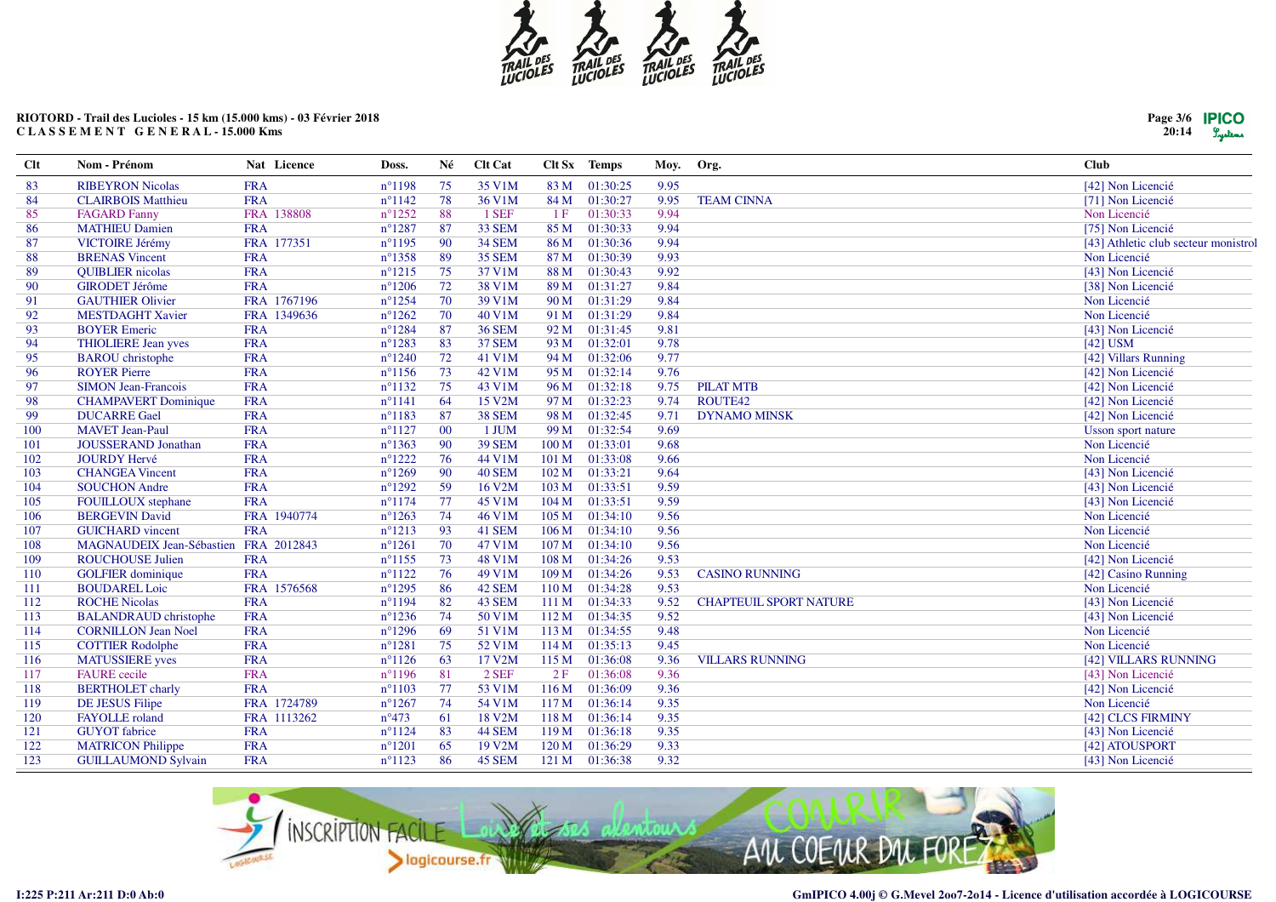

# **RIOTORD - Trail des Lucioles - 15 km (15.000 kms) - 03 Février 2018C L A S S E M E N T G E N E R A L - 15.000 Kms**

| <b>Clt</b> | Nom - Prénom                          | Nat Licence | Doss.            | Né  | Clt Cat       |                  | Clt Sx Temps   | Moy. | Org.                          | <b>Club</b>                          |
|------------|---------------------------------------|-------------|------------------|-----|---------------|------------------|----------------|------|-------------------------------|--------------------------------------|
| 83         | <b>RIBEYRON Nicolas</b>               | <b>FRA</b>  | $n^{\circ}1198$  | 75  | 35 V1M        | 83 M             | 01:30:25       | 9.95 |                               | [42] Non Licencié                    |
| 84         | <b>CLAIRBOIS Matthieu</b>             | <b>FRA</b>  | $n^{\circ}1142$  | 78  | 36 V1M        | 84 M             | 01:30:27       | 9.95 | <b>TEAM CINNA</b>             | [71] Non Licencié                    |
| 85         | <b>FAGARD Fanny</b>                   | FRA 138808  | $n^{\circ}1252$  | 88  | 1 SEF         | 1F               | 01:30:33       | 9.94 |                               | Non Licencié                         |
| 86         | <b>MATHIEU Damien</b>                 | <b>FRA</b>  | $n^{\circ}1287$  | 87  | <b>33 SEM</b> | 85 M             | 01:30:33       | 9.94 |                               | [75] Non Licencié                    |
| 87         | <b>VICTOIRE Jérémy</b>                | FRA 177351  | $n^{\circ}1195$  | -90 | <b>34 SEM</b> | 86 M             | 01:30:36       | 9.94 |                               | [43] Athletic club secteur monistrol |
| 88         | <b>BRENAS Vincent</b>                 | <b>FRA</b>  | $n^{\circ}$ 1358 | 89  | <b>35 SEM</b> | 87 M             | 01:30:39       | 9.93 |                               | Non Licencié                         |
| -89        | <b>QUIBLIER</b> nicolas               | <b>FRA</b>  | $n^{\circ}1215$  | 75  | 37 V1M        | 88 M             | 01:30:43       | 9.92 |                               | [43] Non Licencié                    |
| 90         | <b>GIRODET Jérôme</b>                 | <b>FRA</b>  | $n^{\circ}1206$  | 72  | 38 V1M        | 89 M             | 01:31:27       | 9.84 |                               | [38] Non Licencié                    |
| 91         | <b>GAUTHIER Olivier</b>               | FRA 1767196 | $n^{\circ}1254$  | 70  | 39 V1M        | 90 M             | 01:31:29       | 9.84 |                               | Non Licencié                         |
| 92         | <b>MESTDAGHT Xavier</b>               | FRA 1349636 | $n^{\circ}1262$  | 70  | 40 V1M        |                  | 91 M 01:31:29  | 9.84 |                               | Non Licencié                         |
| 93         | <b>BOYER Emeric</b>                   | <b>FRA</b>  | $n^{\circ}1284$  | 87  | <b>36 SEM</b> | 92 M             | 01:31:45       | 9.81 |                               | [43] Non Licencié                    |
| 94         | <b>THIOLIERE Jean yves</b>            | <b>FRA</b>  | $n^{\circ}1283$  | 83  | 37 SEM        | 93 M             | 01:32:01       | 9.78 |                               | $[42]$ USM                           |
| 95         | <b>BAROU</b> christophe               | <b>FRA</b>  | $n^{\circ}1240$  | 72  | 41 V1M        | 94 M             | 01:32:06       | 9.77 |                               | [42] Villars Running                 |
| 96         | <b>ROYER Pierre</b>                   | <b>FRA</b>  | $n^{\circ}1156$  | 73  | 42 V1M        | 95 M             | 01:32:14       | 9.76 |                               | [42] Non Licencié                    |
| 97         | <b>SIMON Jean-Francois</b>            | <b>FRA</b>  | $n^{\circ}1132$  | 75  | 43 V1M        | 96 M             | 01:32:18       | 9.75 | <b>PILAT MTB</b>              | [42] Non Licencié                    |
| 98         | <b>CHAMPAVERT Dominique</b>           | <b>FRA</b>  | $n^{\circ}1141$  | 64  | 15 V2M        | 97 M             | 01:32:23       | 9.74 | ROUTE42                       | [42] Non Licencié                    |
| -99        | <b>DUCARRE Gael</b>                   | <b>FRA</b>  | $n^{\circ}1183$  | 87  | <b>38 SEM</b> | 98 M             | 01:32:45       | 9.71 | <b>DYNAMO MINSK</b>           | [42] Non Licencié                    |
| 100        | <b>MAVET</b> Jean-Paul                | <b>FRA</b>  | $n^{\circ}1127$  | 00  | 1 JUM         | 99 M             | 01:32:54       | 9.69 |                               | <b>Usson sport nature</b>            |
| 101        | <b>JOUSSERAND Jonathan</b>            | <b>FRA</b>  | $n^{\circ}1363$  | 90  | <b>39 SEM</b> | 100 M            | 01:33:01       | 9.68 |                               | Non Licencié                         |
| 102        | <b>JOURDY Hervé</b>                   | <b>FRA</b>  | $n^{\circ}1222$  | 76  | 44 V1M        | 101 M            | 01:33:08       | 9.66 |                               | Non Licencié                         |
| 103        | <b>CHANGEA Vincent</b>                | <b>FRA</b>  | $n^{\circ}1269$  | 90  | 40 SEM        | 102 <sub>M</sub> | 01:33:21       | 9.64 |                               | [43] Non Licencié                    |
| 104        | <b>SOUCHON Andre</b>                  | <b>FRA</b>  | $n^{\circ}1292$  | 59  | 16 V2M        | 103 M            | 01:33:51       | 9.59 |                               | [43] Non Licencié                    |
| 105        | <b>FOUILLOUX</b> stephane             | <b>FRA</b>  | $n^{\circ}1174$  | 77  | 45 V1M        | 104 M            | 01:33:51       | 9.59 |                               | [43] Non Licencié                    |
| 106        | <b>BERGEVIN David</b>                 | FRA 1940774 | $n^{\circ}1263$  | 74  | 46 V1M        | 105 M            | 01:34:10       | 9.56 |                               | Non Licencié                         |
| 107        | <b>GUICHARD</b> vincent               | <b>FRA</b>  | $n^{\circ}1213$  | 93  | 41 SEM        | 106 <sub>M</sub> | 01:34:10       | 9.56 |                               | Non Licencié                         |
| 108        | MAGNAUDEIX Jean-Sébastien FRA 2012843 |             | $n^{\circ}1261$  | 70  | 47 V1M        | 107 <sub>M</sub> | 01:34:10       | 9.56 |                               | Non Licencié                         |
| 109        | <b>ROUCHOUSE Julien</b>               | <b>FRA</b>  | $n^{\circ}1155$  | 73  | 48 V1M        | 108 M            | 01:34:26       | 9.53 |                               | [42] Non Licencié                    |
| 110        | <b>GOLFIER</b> dominique              | <b>FRA</b>  | $n^{\circ}1122$  | 76  | 49 V1M        | 109 M            | 01:34:26       | 9.53 | <b>CASINO RUNNING</b>         | [42] Casino Running                  |
| 111        | <b>BOUDAREL Loic</b>                  | FRA 1576568 | $n^{\circ}$ 1295 | 86  | 42 SEM        | 110M             | 01:34:28       | 9.53 |                               | Non Licencié                         |
| 112        | <b>ROCHE Nicolas</b>                  | <b>FRA</b>  | $n^{\circ}1194$  | 82  | 43 SEM        | 111 M            | 01:34:33       | 9.52 | <b>CHAPTEUIL SPORT NATURE</b> | [43] Non Licencié                    |
| 113        | <b>BALANDRAUD</b> christophe          | <b>FRA</b>  | $n^{\circ}1236$  | 74  | 50 V1M        | 112 M            | 01:34:35       | 9.52 |                               | [43] Non Licencié                    |
| 114        | <b>CORNILLON Jean Noel</b>            | <b>FRA</b>  | $n^{\circ}1296$  | 69  | 51 V1M        | 113 M            | 01:34:55       | 9.48 |                               | Non Licencié                         |
| 115        | <b>COTTIER Rodolphe</b>               | <b>FRA</b>  | $n^{\circ}1281$  | 75  | 52 V1M        | 114M             | 01:35:13       | 9.45 |                               | Non Licencié                         |
| 116        | <b>MATUSSIERE</b> yves                | <b>FRA</b>  | $n^{\circ}1126$  | 63  | 17 V2M        | 115M             | 01:36:08       | 9.36 | <b>VILLARS RUNNING</b>        | [42] VILLARS RUNNING                 |
| 117        | <b>FAURE</b> cecile                   | <b>FRA</b>  | $n^{\circ}1196$  | 81  | $2$ SEF       | 2F               | 01:36:08       | 9.36 |                               | [43] Non Licencié                    |
| 118        | <b>BERTHOLET</b> charly               | <b>FRA</b>  | $n^{\circ}1103$  | 77  | 53 V1M        | 116M             | 01:36:09       | 9.36 |                               | [42] Non Licencié                    |
| 119        | DE JESUS Filipe                       | FRA 1724789 | $n^{\circ}1267$  | 74  | 54 V1M        | 117 M            | 01:36:14       | 9.35 |                               | Non Licencié                         |
| 120        | <b>FAYOLLE</b> roland                 | FRA 1113262 | $n^{\circ}473$   | 61  | 18 V2M        | 118 M            | 01:36:14       | 9.35 |                               | [42] CLCS FIRMINY                    |
| 121        | <b>GUYOT</b> fabrice                  | <b>FRA</b>  | $n^{\circ}1124$  | 83  | <b>44 SEM</b> | 119M             | 01:36:18       | 9.35 |                               | [43] Non Licencié                    |
| 122        | <b>MATRICON Philippe</b>              | <b>FRA</b>  | $n^{\circ}1201$  | 65  | 19 V2M        | 120 M            | 01:36:29       | 9.33 |                               | [42] ATOUSPORT                       |
| 123        | <b>GUILLAUMOND Sylvain</b>            | <b>FRA</b>  | $n^{\circ}1123$  | 86  | 45 SEM        |                  | 121 M 01:36:38 | 9.32 |                               | [43] Non Licencié                    |



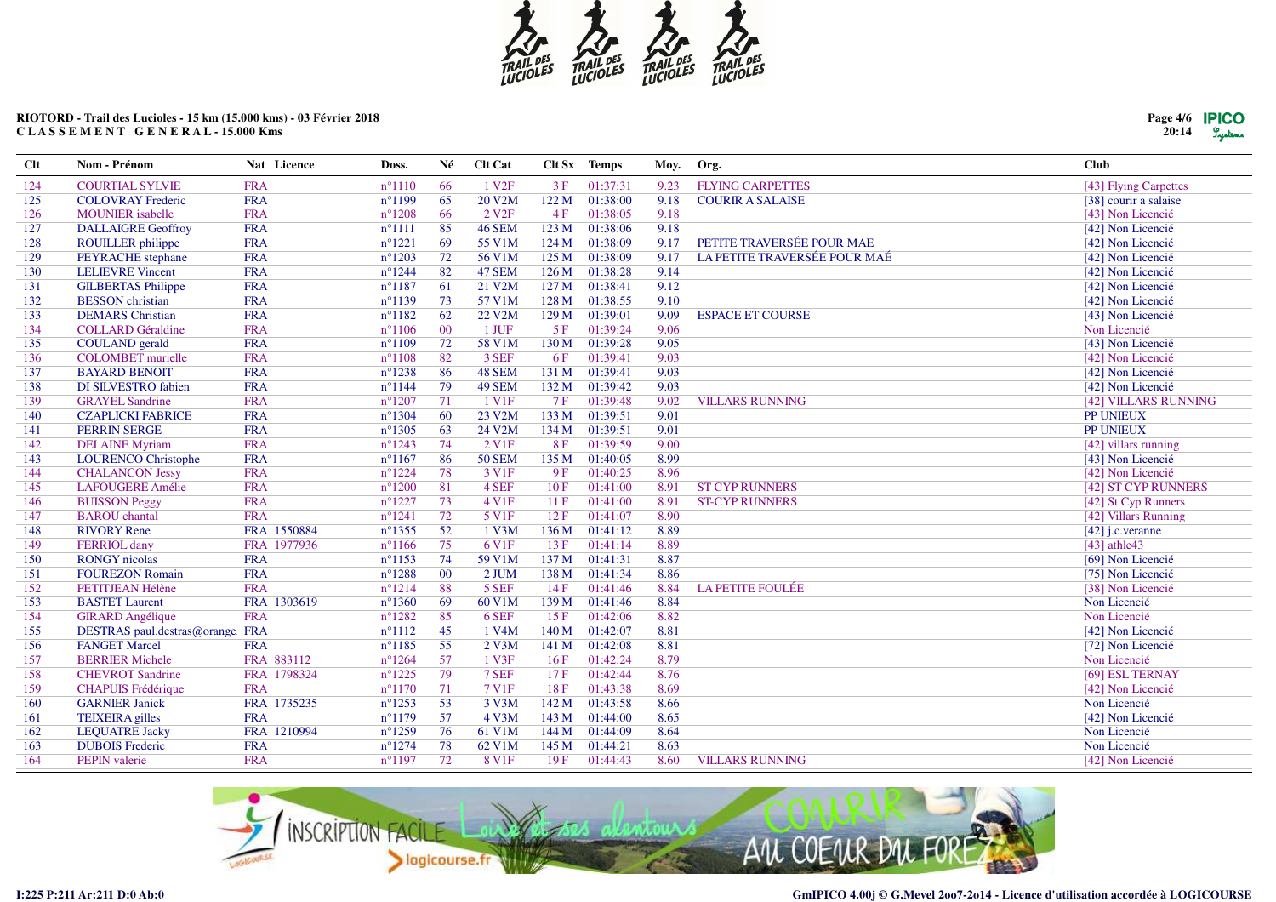

**Clt Nom - Prénom Nat Licence Doss. Né Clt Cat Clt Sx Temps Moy. Org. Club**

# **RIOTORD - Trail des Lucioles - 15 km (15.000 kms) - 03 Février 2018C L A S S E M E N T G E N E R A L - 15.000 Kms**

| 124 | <b>COURTIAL SYLVIE</b>          | <b>FRA</b>  | $n^{\circ}1110$  | -66    | 1 V <sub>2F</sub>  | 3F        | 01:37:31 | 9.23 | <b>FLYING CARPETTES</b>      | [43] Flying Carpettes |
|-----|---------------------------------|-------------|------------------|--------|--------------------|-----------|----------|------|------------------------------|-----------------------|
| 125 | <b>COLOVRAY Frederic</b>        | <b>FRA</b>  | $n^{\circ}1199$  | 65     | 20 V2M             | 122 M     | 01:38:00 | 9.18 | <b>COURIR A SALAISE</b>      | [38] courir a salaise |
| 126 | <b>MOUNIER</b> isabelle         | <b>FRA</b>  | $n^{\circ}1208$  | 66     | 2 V <sub>2F</sub>  | 4F        | 01:38:05 | 9.18 |                              | [43] Non Licencié     |
| 127 | <b>DALLAIGRE Geoffroy</b>       | <b>FRA</b>  | $n^{\circ}1111$  | 85     | <b>46 SEM</b>      | 123 M     | 01:38:06 | 9.18 |                              | [42] Non Licencié     |
| 28  | <b>ROUILLER</b> philippe        | <b>FRA</b>  | $n^{\circ}1221$  | 69     | 55 V1M             | 124 M     | 01:38:09 | 9.17 | PETITE TRAVERSÉE POUR MAE    | [42] Non Licencié     |
| 129 | PEYRACHE stephane               | <b>FRA</b>  | $n^{\circ}1203$  | 72     | 56 V1M             | 125 M     | 01:38:09 | 9.17 | LA PETITE TRAVERSÉE POUR MAÉ | [42] Non Licencié     |
| 130 | <b>LELIEVRE Vincent</b>         | <b>FRA</b>  | $n^{\circ}1244$  | 82     | 47 SEM             | 126 M     | 01:38:28 | 9.14 |                              | [42] Non Licencié     |
| 131 | <b>GILBERTAS Philippe</b>       | <b>FRA</b>  | $n^{\circ}1187$  | 61     | 21 V2M             | 127 M     | 01:38:41 | 9.12 |                              | [42] Non Licencié     |
| 132 | <b>BESSON</b> christian         | <b>FRA</b>  | $n^{\circ}1139$  | 73     | 57 V1M             | 128 M     | 01:38:55 | 9.10 |                              | [42] Non Licencié     |
| 133 | <b>DEMARS</b> Christian         | <b>FRA</b>  | $n^{\circ}1182$  | 62     | 22 V2M             | 129 M     | 01:39:01 | 9.09 | <b>ESPACE ET COURSE</b>      | [43] Non Licencié     |
| 134 | <b>COLLARD</b> Géraldine        | <b>FRA</b>  | $n^{\circ}1106$  | 00     | 1 JUF              | 5F        | 01:39:24 | 9.06 |                              | Non Licencié          |
| 135 | <b>COULAND</b> gerald           | <b>FRA</b>  | $n^{\circ}1109$  | 72     | 58 V1M             | 130 M     | 01:39:28 | 9.05 |                              | [43] Non Licencié     |
| 136 | <b>COLOMBET</b> murielle        | <b>FRA</b>  | $n^{\circ}1108$  | 82     | 3 SEF              | 6F        | 01:39:41 | 9.03 |                              | [42] Non Licencié     |
| 137 | <b>BAYARD BENOIT</b>            | <b>FRA</b>  | $n^{\circ}1238$  | 86     | 48 SEM             | 131 M     | 01:39:41 | 9.03 |                              | [42] Non Licencié     |
| 138 | <b>DI SILVESTRO fabien</b>      | <b>FRA</b>  | $n^{\circ}1144$  | 79     | 49 SEM             | 132 M     | 01:39:42 | 9.03 |                              | [42] Non Licencié     |
| 139 | <b>GRAYEL Sandrine</b>          | <b>FRA</b>  | $n^{\circ}1207$  | 71     | 1 V <sub>1</sub> F | <b>7F</b> | 01:39:48 | 9.02 | <b>VILLARS RUNNING</b>       | [42] VILLARS RUNNING  |
| 140 | <b>CZAPLICKI FABRICE</b>        | <b>FRA</b>  | $n^{\circ}1304$  | 60     | 23 V2M             | 133 M     | 01:39:51 | 9.01 |                              | PP UNIEUX             |
| 141 | <b>PERRIN SERGE</b>             | <b>FRA</b>  | $n^{\circ}1305$  | 63     | 24 V2M             | 134 M     | 01:39:51 | 9.01 |                              | PP UNIEUX             |
| 142 | <b>DELAINE</b> Myriam           | <b>FRA</b>  | $n^{\circ}1243$  | 74     | 2 V <sub>1F</sub>  | 8F        | 01:39:59 | 9.00 |                              | [42] villars running  |
| 143 | <b>LOURENCO Christophe</b>      | <b>FRA</b>  | $n^{\circ}1167$  | 86     | <b>50 SEM</b>      | 135 M     | 01:40:05 | 8.99 |                              | [43] Non Licencié     |
| 144 | <b>CHALANCON Jessy</b>          | <b>FRA</b>  | $n^{\circ}1224$  | 78     | 3 V <sub>1F</sub>  | 9F        | 01:40:25 | 8.96 |                              | [42] Non Licencié     |
| 145 | <b>LAFOUGERE Amélie</b>         | <b>FRA</b>  | $n^{\circ}1200$  | 81     | 4 SEF              | 10F       | 01:41:00 | 8.91 | <b>ST CYP RUNNERS</b>        | [42] ST CYP RUNNERS   |
| 146 | <b>BUISSON Peggy</b>            | <b>FRA</b>  | $n^{\circ}1227$  | 73     | 4 V1F              | 11F       | 01:41:00 | 8.91 | <b>ST-CYP RUNNERS</b>        | [42] St Cyp Runners   |
| 147 | <b>BAROU</b> chantal            | <b>FRA</b>  | $n^{\circ}1241$  | 72     | 5 V <sub>1F</sub>  | 12F       | 01:41:07 | 8.90 |                              | [42] Villars Running  |
| 148 | <b>RIVORY Rene</b>              | FRA 1550884 | $n^{\circ}$ 1355 | 52     | 1 V3M              | 136 M     | 01:41:12 | 8.89 |                              | $[42]$ j.c. veranne   |
| 149 | <b>FERRIOL</b> dany             | FRA 1977936 | $n^{\circ}1166$  | 75     | 6 V1F              | 13F       | 01:41:14 | 8.89 |                              | [43] athle43          |
| 150 | <b>RONGY</b> nicolas            | <b>FRA</b>  | $n^{\circ}1153$  | 74     | 59 V1M             | 137 M     | 01:41:31 | 8.87 |                              | [69] Non Licencié     |
| 151 | <b>FOUREZON Romain</b>          | <b>FRA</b>  | $n^{\circ}1288$  | $00\,$ | 2 JUM              | 138 M     | 01:41:34 | 8.86 |                              | [75] Non Licencié     |
| 152 | PETITJEAN Hélène                | <b>FRA</b>  | $n^{\circ}1214$  | 88     | 5 SEF              | 14F       | 01:41:46 | 8.84 | <b>LA PETITE FOULÉE</b>      | [38] Non Licencié     |
| 153 | <b>BASTET Laurent</b>           | FRA 1303619 | $n^{\circ}1360$  | 69     | 60 V1M             | 139 M     | 01:41:46 | 8.84 |                              | Non Licencié          |
| 154 | <b>GIRARD</b> Angélique         | <b>FRA</b>  | $n^{\circ}1282$  | 85     | 6 SEF              | 15F       | 01:42:06 | 8.82 |                              | Non Licencié          |
| 155 | DESTRAS paul.destras@orange.FRA |             | $n^{\circ}1112$  | 45     | 1 V4M              | 140 M     | 01:42:07 | 8.81 |                              | [42] Non Licencié     |
| 156 | <b>FANGET Marcel</b>            | <b>FRA</b>  | $n^{\circ}1185$  | 55     | $2$ V3M            | 141 M     | 01:42:08 | 8.81 |                              | [72] Non Licencié     |
| 157 | <b>BERRIER Michele</b>          | FRA 883112  | $n^{\circ}1264$  | 57     | 1 V3F              | 16F       | 01:42:24 | 8.79 |                              | Non Licencié          |
| 158 | <b>CHEVROT</b> Sandrine         | FRA 1798324 | $n^{\circ}1225$  | 79     | 7 SEF              | 17F       | 01:42:44 | 8.76 |                              | [69] ESL TERNAY       |
| 159 | <b>CHAPUIS Frédérique</b>       | <b>FRA</b>  | $n^{\circ}1170$  | 71     | 7 V1F              | 18F       | 01:43:38 | 8.69 |                              | [42] Non Licencié     |
| 160 | <b>GARNIER Janick</b>           | FRA 1735235 | $n^{\circ}1253$  | 53     | 3 V3M              | 142 M     | 01:43:58 | 8.66 |                              | Non Licencié          |
| 161 | <b>TEIXEIRA</b> gilles          | <b>FRA</b>  | $n^{\circ}1179$  | 57     | 4 V3M              | 143 M     | 01:44:00 | 8.65 |                              | [42] Non Licencié     |
| 162 | <b>LEQUATRE Jacky</b>           | FRA 1210994 | $n^{\circ}1259$  | 76     | 61 V1M             | 144 M     | 01:44:09 | 8.64 |                              | Non Licencié          |
| 163 | <b>DUBOIS</b> Frederic          | <b>FRA</b>  | $n^{\circ}1274$  | 78     | 62 V1M             | 145 M     | 01:44:21 | 8.63 |                              | Non Licencié          |
| 164 | <b>PEPIN</b> valerie            | <b>FRA</b>  | $n^{\circ}1197$  | 72     | 8 V <sub>1F</sub>  | 19F       | 01:44:43 | 8.60 | <b>VILLARS RUNNING</b>       | [42] Non Licencié     |
|     |                                 |             |                  |        |                    |           |          |      |                              |                       |



155



 $\sim$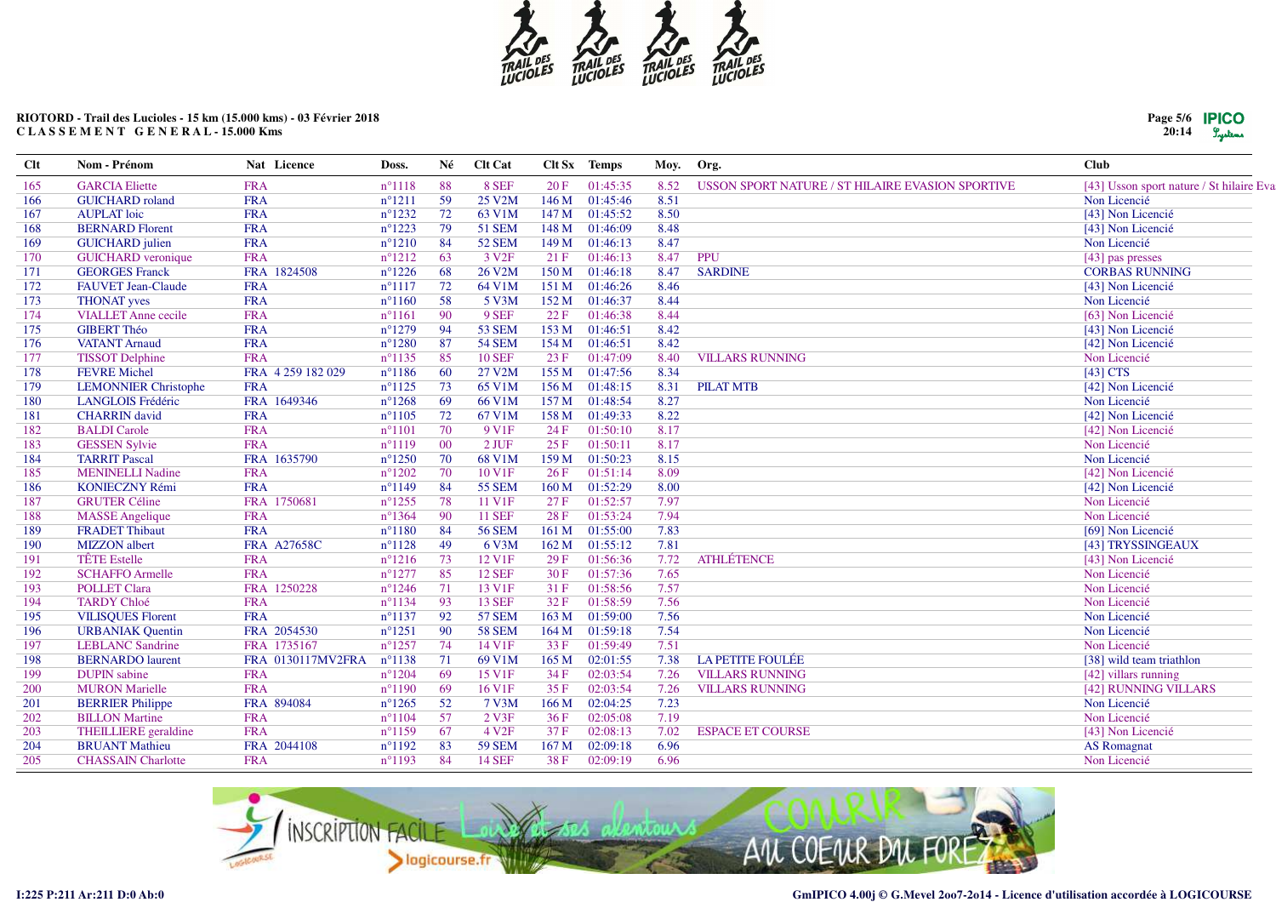

# RIOTORD - Trail des Lucioles - 15 km (15.000 kms) - 03 Février 2018 CLASSEMENT GENERAL-15.000 Kms

| Page 5/6 | <b>IPICO</b> |
|----------|--------------|
| 20:14    | Lystems      |

| <b>Clt</b> | Nom - Prénom                | Nat Licence        | Doss.           | Né | <b>Clt Cat</b>      | Clt Sx           | <b>Temps</b> | Moy. | Org.                                             | <b>Club</b>                              |
|------------|-----------------------------|--------------------|-----------------|----|---------------------|------------------|--------------|------|--------------------------------------------------|------------------------------------------|
| 165        | <b>GARCIA</b> Eliette       | <b>FRA</b>         | $n^{\circ}1118$ | 88 | 8 SEF               | 20F              | 01:45:35     | 8.52 | USSON SPORT NATURE / ST HILAIRE EVASION SPORTIVE | [43] Usson sport nature / St hilaire Eva |
| 166        | <b>GUICHARD</b> roland      | <b>FRA</b>         | $n^{\circ}1211$ | 59 | 25 V <sub>2</sub> M | 146 M            | 01:45:46     | 8.51 |                                                  | Non Licencié                             |
| 167        | <b>AUPLAT</b> loic          | <b>FRA</b>         | $n^{\circ}1232$ | 72 | 63 V1M              | 147 M            | 01:45:52     | 8.50 |                                                  | [43] Non Licencié                        |
| 168        | <b>BERNARD Florent</b>      | <b>FRA</b>         | $n^{\circ}1223$ | 79 | <b>51 SEM</b>       | 148 M            | 01:46:09     | 8.48 |                                                  | [43] Non Licencié                        |
| 169        | <b>GUICHARD</b> julien      | <b>FRA</b>         | $n^{\circ}1210$ | 84 | <b>52 SEM</b>       | 149 M            | 01:46:13     | 8.47 |                                                  | Non Licencié                             |
| 170        | <b>GUICHARD</b> veronique   | <b>FRA</b>         | $n^{\circ}1212$ | 63 | 3 V <sub>2F</sub>   | 21F              | 01:46:13     | 8.47 | PPU                                              | [43] pas presses                         |
| 171        | <b>GEORGES Franck</b>       | FRA 1824508        | $n^{\circ}1226$ | 68 | 26 V2M              | 150 M            | 01:46:18     | 8.47 | <b>SARDINE</b>                                   | <b>CORBAS RUNNING</b>                    |
| 172        | <b>FAUVET Jean-Claude</b>   | <b>FRA</b>         | $n^{\circ}1117$ | 72 | 64 V1M              | 151 M            | 01:46:26     | 8.46 |                                                  | [43] Non Licencié                        |
| 173        | <b>THONAT</b> yves          | <b>FRA</b>         | $n^{\circ}1160$ | 58 | 5 V3M               | 152 M            | 01:46:37     | 8.44 |                                                  | Non Licencié                             |
| 174        | <b>VIALLET</b> Anne cecile  | <b>FRA</b>         | $n^{\circ}1161$ | 90 | 9 SEF               | 22 F             | 01:46:38     | 8.44 |                                                  | [63] Non Licencié                        |
| 175        | <b>GIBERT Théo</b>          | <b>FRA</b>         | $n^{\circ}1279$ | 94 | <b>53 SEM</b>       | 153 M            | 01:46:51     | 8.42 |                                                  | [43] Non Licencié                        |
| 176        | <b>VATANT Arnaud</b>        | <b>FRA</b>         | $n^{\circ}1280$ | 87 | <b>54 SEM</b>       | 154 M            | 01:46:51     | 8.42 |                                                  | [42] Non Licencié                        |
| 177        | <b>TISSOT Delphine</b>      | <b>FRA</b>         | $n^{\circ}1135$ | 85 | <b>10 SEF</b>       | 23F              | 01:47:09     | 8.40 | <b>VILLARS RUNNING</b>                           | Non Licencié                             |
| 178        | <b>FEVRE</b> Michel         | FRA 4 259 182 029  | $n^{\circ}1186$ | 60 | 27 V2M              | 155 M            | 01:47:56     | 8.34 |                                                  | [43] CTS                                 |
| 179        | <b>LEMONNIER Christophe</b> | <b>FRA</b>         | $n^{\circ}1125$ | 73 | 65 V1M              | 156 M            | 01:48:15     | 8.31 | <b>PILAT MTB</b>                                 | [42] Non Licencié                        |
| 180        | <b>LANGLOIS Frédéric</b>    | FRA 1649346        | $n^{\circ}1268$ | 69 | 66 V1M              | 157 <sub>M</sub> | 01:48:54     | 8.27 |                                                  | Non Licencié                             |
| 181        | <b>CHARRIN</b> david        | <b>FRA</b>         | $n^{\circ}1105$ | 72 | 67 V1M              | 158 M            | 01:49:33     | 8.22 |                                                  | [42] Non Licencié                        |
| 182        | <b>BALDI</b> Carole         | <b>FRA</b>         | $n^{\circ}1101$ | 70 | 9 V <sub>1F</sub>   | 24 F             | 01:50:10     | 8.17 |                                                  | [42] Non Licencié                        |
| 183        | <b>GESSEN Sylvie</b>        | <b>FRA</b>         | $n^{\circ}1119$ | 00 | 2 JUF               | 25F              | 01:50:11     | 8.17 |                                                  | Non Licencié                             |
| 184        | <b>TARRIT Pascal</b>        | FRA 1635790        | $n^{\circ}1250$ | 70 | 68 V1M              | 159 M            | 01:50:23     | 8.15 |                                                  | Non Licencié                             |
| 185        | <b>MENINELLI Nadine</b>     | <b>FRA</b>         | $n^{\circ}1202$ | 70 | 10 V1F              | 26F              | 01:51:14     | 8.09 |                                                  | [42] Non Licencié                        |
| 186        | KONIECZNY Rémi              | <b>FRA</b>         | $n^{\circ}1149$ | 84 | <b>55 SEM</b>       | 160 M            | 01:52:29     | 8.00 |                                                  | [42] Non Licencié                        |
| 187        | <b>GRUTER Céline</b>        | FRA 1750681        | $n^{\circ}1255$ | 78 | 11 V1F              | 27F              | 01:52:57     | 7.97 |                                                  | Non Licencié                             |
| 188        | <b>MASSE</b> Angelique      | <b>FRA</b>         | $n^{\circ}1364$ | 90 | <b>11 SEF</b>       | 28F              | 01:53:24     | 7.94 |                                                  | Non Licencié                             |
| 189        | <b>FRADET Thibaut</b>       | <b>FRA</b>         | $n^{\circ}1180$ | 84 | <b>56 SEM</b>       | 161 M            | 01:55:00     | 7.83 |                                                  | [69] Non Licencié                        |
| 190        | <b>MIZZON</b> albert        | <b>FRA A27658C</b> | $n^{\circ}1128$ | 49 | 6 V3M               | 162 M            | 01:55:12     | 7.81 |                                                  | [43] TRYSSINGEAUX                        |
| 191        | <b>TÊTE</b> Estelle         | <b>FRA</b>         | $n^{\circ}1216$ | 73 | 12 V1F              | 29F              | 01:56:36     | 7.72 | <b>ATHLÉTENCE</b>                                | [43] Non Licencié                        |
| 192        | <b>SCHAFFO Armelle</b>      | <b>FRA</b>         | $n^{\circ}1277$ | 85 | <b>12 SEF</b>       | 30F              | 01:57:36     | 7.65 |                                                  | Non Licencié                             |
| 193        | <b>POLLET Clara</b>         | FRA 1250228        | $n^{\circ}1246$ | 71 | 13 V1F              | 31 F             | 01:58:56     | 7.57 |                                                  | Non Licencié                             |
| 194        | <b>TARDY Chloé</b>          | <b>FRA</b>         | $n^{\circ}1134$ | 93 | <b>13 SEF</b>       | 32F              | 01:58:59     | 7.56 |                                                  | Non Licencié                             |
| 195        | <b>VILISQUES Florent</b>    | <b>FRA</b>         | $n^{\circ}1137$ | 92 | <b>57 SEM</b>       | 163 M            | 01:59:00     | 7.56 |                                                  | Non Licencié                             |
| 196        | <b>URBANIAK Quentin</b>     | FRA 2054530        | $n^{\circ}1251$ | 90 | <b>58 SEM</b>       | 164 M            | 01:59:18     | 7.54 |                                                  | Non Licencié                             |
| 197        | <b>LEBLANC Sandrine</b>     | FRA 1735167        | $n^{\circ}1257$ | 74 | 14 V1F              | 33 F             | 01:59:49     | 7.51 |                                                  | Non Licencié                             |
| 198        | <b>BERNARDO</b> laurent     | FRA 0130117MV2FRA  | $n^{\circ}1138$ | 71 | 69 V1M              | 165 M            | 02:01:55     | 7.38 | <b>LA PETITE FOULÉE</b>                          | [38] wild team triathlon                 |
| 199        | <b>DUPIN</b> sabine         | <b>FRA</b>         | $n^{\circ}1204$ | 69 | 15 V <sub>1F</sub>  | 34F              | 02:03:54     | 7.26 | <b>VILLARS RUNNING</b>                           | [42] villars running                     |
| 200        | <b>MURON</b> Marielle       | <b>FRA</b>         | $n^{\circ}1190$ | 69 | 16 V1F              | 35F              | 02:03:54     | 7.26 | <b>VILLARS RUNNING</b>                           | [42] RUNNING VILLARS                     |
| 201        | <b>BERRIER</b> Philippe     | FRA 894084         | $n^{\circ}1265$ | 52 | 7 V3M               | 166 M            | 02:04:25     | 7.23 |                                                  | Non Licencié                             |
| 202        | <b>BILLON Martine</b>       | <b>FRA</b>         | $n^{\circ}1104$ | 57 | 2 V3F               | 36F              | 02:05:08     | 7.19 |                                                  | Non Licencié                             |
| 203        | THEILLIERE geraldine        | <b>FRA</b>         | $n^{\circ}1159$ | 67 | 4 V <sub>2F</sub>   | 37F              | 02:08:13     | 7.02 | <b>ESPACE ET COURSE</b>                          | [43] Non Licencié                        |
| 204        | <b>BRUANT Mathieu</b>       | FRA 2044108        | $n^{\circ}1192$ | 83 | <b>59 SEM</b>       | 167 <sub>M</sub> | 02:09:18     | 6.96 |                                                  | <b>AS</b> Romagnat                       |
| 205        | <b>CHASSAIN Charlotte</b>   | <b>FRA</b>         | $n^{\circ}1193$ | 84 | <b>14 SEF</b>       | 38F              | 02:09:19     | 6.96 |                                                  | Non Licencié                             |